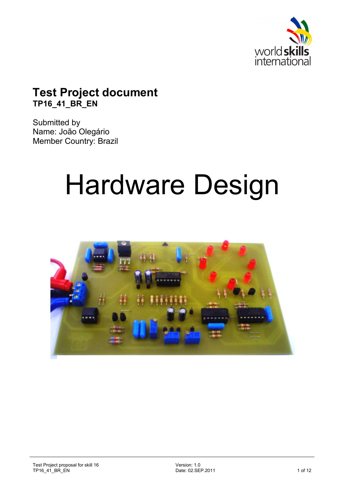

# **Test Project document TP16\_41\_BR\_EN**

Submitted by Name: João Olegário Member Country: Brazil

# Hardware Design

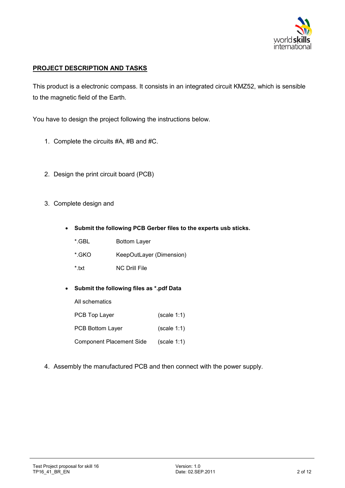

# **PROJECT DESCRIPTION AND TASKS**

This product is a electronic compass. It consists in an integrated circuit KMZ52, which is sensible to the magnetic field of the Earth.

You have to design the project following the instructions below.

- 1. Complete the circuits #A, #B and #C.
- 2. Design the print circuit board (PCB)
- 3. Complete design and
	- **Submit the following PCB Gerber files to the experts usb sticks.** 
		- \*.GBL Bottom Layer
		- \*.GKO KeepOutLayer (Dimension)
		- \*.txt NC Drill File
	- **Submit the following files as \*.pdf Data**

All schematics

- PCB Top Layer (scale 1:1)
- PCB Bottom Layer (scale 1:1)
- Component Placement Side (scale 1:1)
- 4. Assembly the manufactured PCB and then connect with the power supply.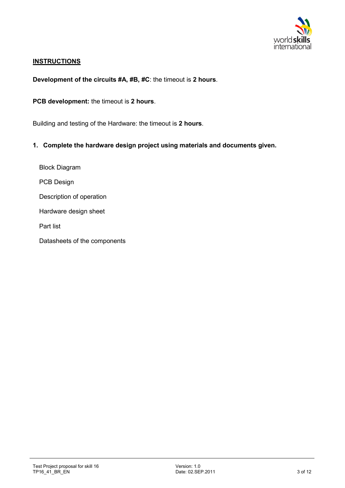

#### **INSTRUCTIONS**

**Development of the circuits #A, #B, #C**: the timeout is **2 hours**.

**PCB development:** the timeout is **2 hours**.

Building and testing of the Hardware: the timeout is **2 hours**.

**1. Complete the hardware design project using materials and documents given.** 

Block Diagram PCB Design Description of operation Hardware design sheet Part list

Datasheets of the components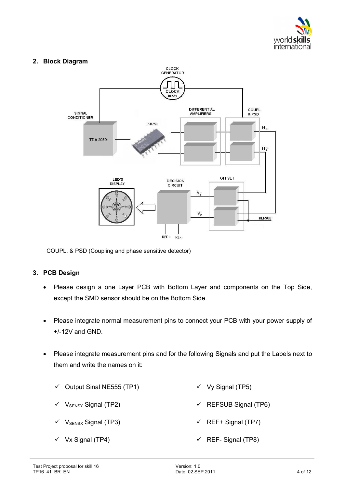

# **2. Block Diagram**



COUPL. & PSD (Coupling and phase sensitive detector)

# **3. PCB Design**

- Please design a one Layer PCB with Bottom Layer and components on the Top Side, except the SMD sensor should be on the Bottom Side.
- Please integrate normal measurement pins to connect your PCB with your power supply of +/-12V and GND.
- Please integrate measurement pins and for the following Signals and put the Labels next to them and write the names on it:
	- $\checkmark$  Output Sinal NE555 (TP1)  $V$  Vy Signal (TP5)
	- $V$  V<sub>SENSY</sub> Signal (TP2)  $\checkmark$  REFSUB Signal (TP6)
	- V<sub>SENSX</sub> Signal (TP3)  $\checkmark$  REF+ Signal (TP7)
	- $\checkmark$  Vx Signal (TP4)  $\checkmark$  REF- Signal (TP8)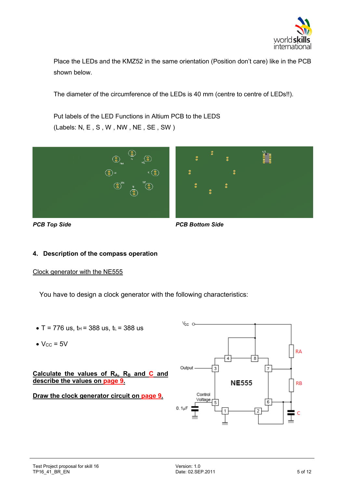

Place the LEDs and the KMZ52 in the same orientation (Position don't care) like in the PCB shown below.

The diameter of the circumference of the LEDs is 40 mm (centre to centre of LEDs!!).

Put labels of the LED Functions in Altium PCB to the LEDS (Labels: N, E , S , W , NW , NE , SE , SW )



*PCB Top Side PCB Bottom Side* 

# **4. Description of the compass operation**

#### Clock generator with the NE555

You have to design a clock generator with the following characteristics:

- $T = 776$  us,  $t_H = 388$  us,  $t_L = 388$  us
- $V_{CC}$  = 5V

Calculate the values of R<sub>A</sub>, R<sub>B</sub> and C and **describe the values on page 9.** 

# **Draw the clock generator circuit on page 9.**

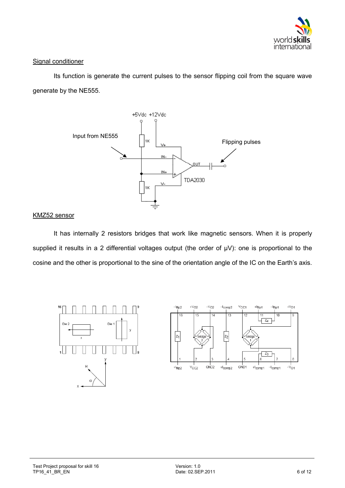

## Signal conditioner

Its function is generate the current pulses to the sensor flipping coil from the square wave generate by the NE555.



#### KMZ52 sensor

It has internally 2 resistors bridges that work like magnetic sensors. When it is properly supplied it results in a 2 differential voltages output (the order of  $\mu V$ ): one is proportional to the cosine and the other is proportional to the sine of the orientation angle of the IC on the Earth's axis.



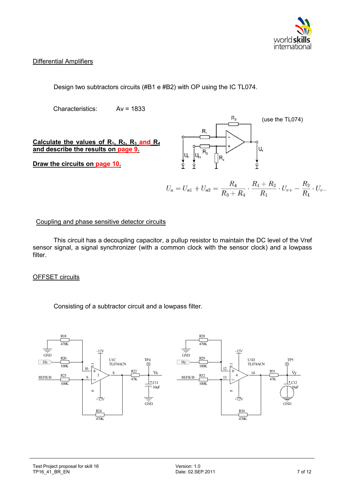

# Differential Amplifiers

Design two subtractors circuits (#B1 e #B2) with OP using the IC TL074.

Characteristics: Av = 1833

**Calculate the values of R1, R2, R<sup>3</sup> and R<sup>4</sup> and describe the results on page 9.** 

**Draw the circuits on page 10.** 



$$
U_a = U_{a1} + U_{a2} = \frac{R_4}{R_3 + R_4} \cdot \frac{R_1 + R_2}{R_1} \cdot U_{e+} - \frac{R_2}{R_1} \cdot U_{e-}
$$

#### Coupling and phase sensitive detector circuits

This circuit has a decoupling capacitor, a pullup resistor to maintain the DC level of the Vref sensor signal, a signal synchronizer (with a common clock with the sensor clock) and a lowpass filter.

#### OFFSET circuits

Consisting of a subtractor circuit and a lowpass filter.

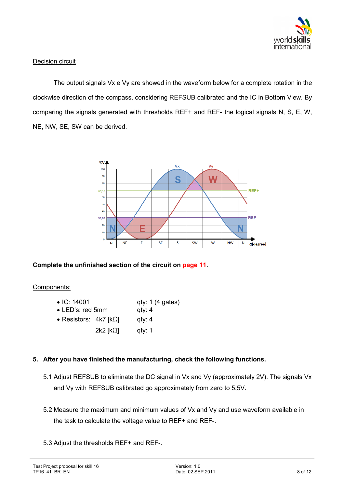

#### Decision circuit

The output signals Vx e Vy are showed in the waveform below for a complete rotation in the clockwise direction of the compass, considering REFSUB calibrated and the IC in Bottom View. By comparing the signals generated with thresholds REF+ and REF- the logical signals N, S, E, W, NE, NW, SE, SW can be derived.



# **Complete the unfinished section of the circuit on page 11.**

#### Components:

| $\bullet$ IC: 14001              | qty: 1 (4 gates) |
|----------------------------------|------------------|
| $\bullet$ LED's: red 5mm         | qty: 4           |
| • Resistors: $4k7$ [ $k\Omega$ ] | qty: 4           |
| $2k2$ [ $k$ $\Omega$ ]           | qty: 1           |

# **5. After you have finished the manufacturing, check the following functions.**

- 5.1 Adjust REFSUB to eliminate the DC signal in Vx and Vy (approximately 2V). The signals Vx and Vy with REFSUB calibrated go approximately from zero to 5,5V.
- 5.2 Measure the maximum and minimum values of Vx and Vy and use waveform available in the task to calculate the voltage value to REF+ and REF-.
- 5.3 Adjust the thresholds REF+ and REF-.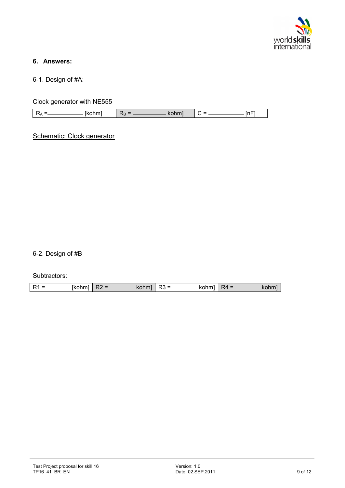

# **6. Answers:**

6-1. Design of #A:

Clock generator with NE555

| - | ممرماء<br>amu - | `D | . | $\overline{\phantom{0}}$<br>'n⊦ |
|---|-----------------|----|---|---------------------------------|
|   |                 |    |   |                                 |

Schematic: Clock generator

6-2. Design of #B

#### Subtractors:

| $\frac{1}{2}$ [kohm]   R2 =<br>$R1 =$ |  |  | $\sim$ $\sim$ $\sim$ kohml $\mid$ R3 =<br>$\sim$ - $\sim$ - kohm]   R4 = |  |  | $\_\_\_\$ kohm |
|---------------------------------------|--|--|--------------------------------------------------------------------------|--|--|----------------|
|---------------------------------------|--|--|--------------------------------------------------------------------------|--|--|----------------|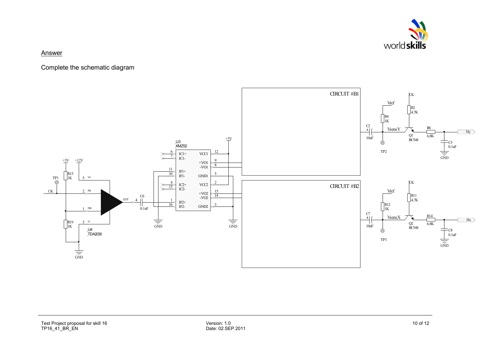

#### Answer

Complete the schematic diagram

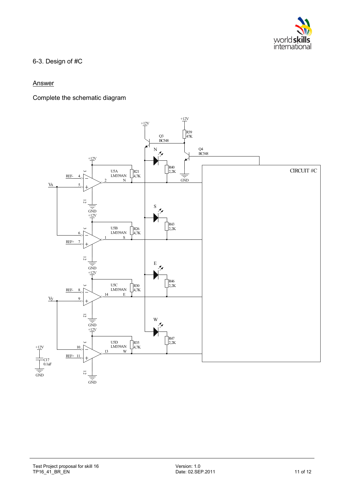

6-3. Design of #C

## **Answer**

Complete the schematic diagram